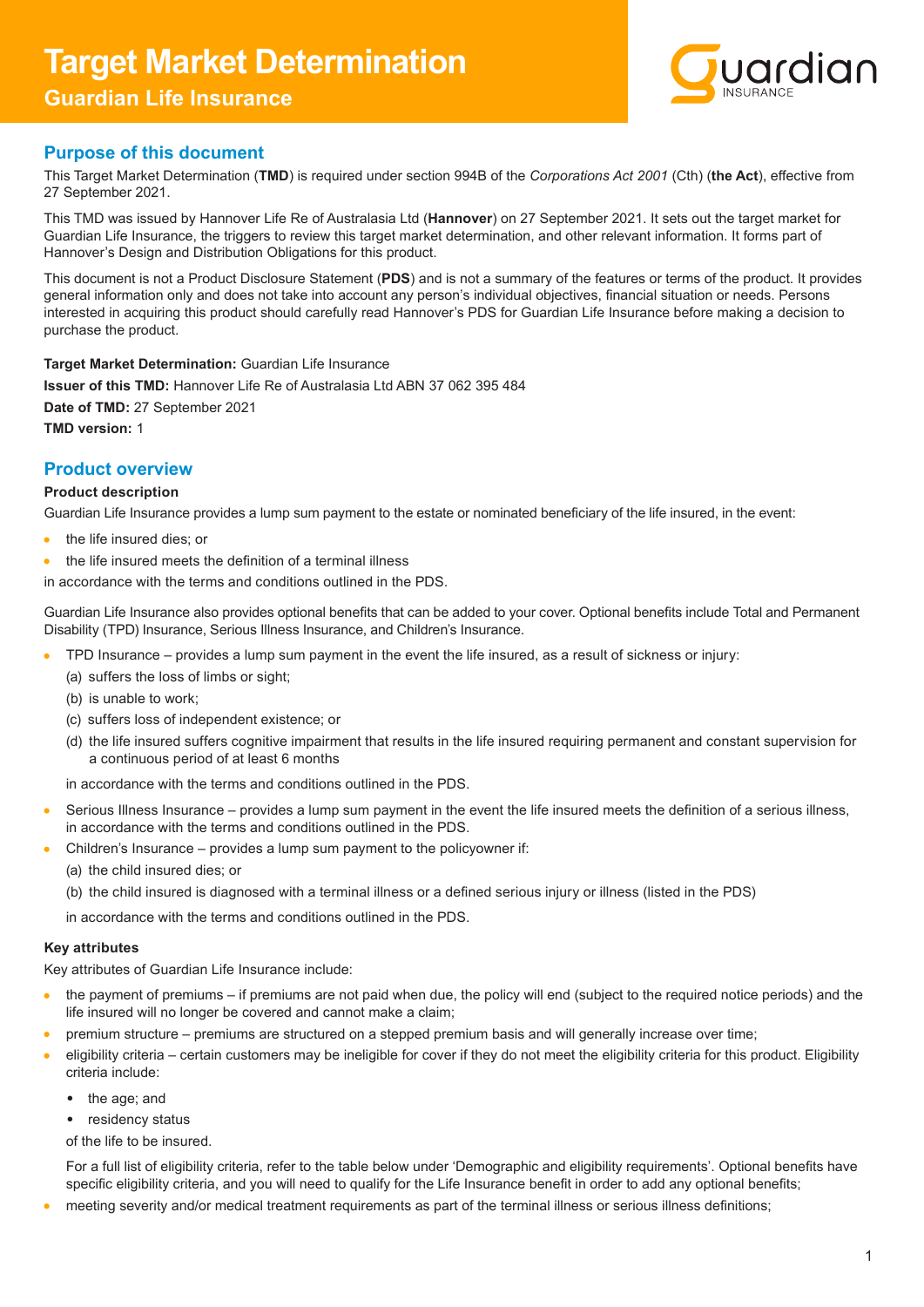# **Target Market Determination Guardian Life Insurance**



# **Purpose of this document**

This Target Market Determination (**TMD**) is required under section 994B of the *Corporations Act 2001* (Cth) (**the Act**), effective from 27 September 2021.

This TMD was issued by Hannover Life Re of Australasia Ltd (**Hannover**) on 27 September 2021. It sets out the target market for Guardian Life Insurance, the triggers to review this target market determination, and other relevant information. It forms part of Hannover's Design and Distribution Obligations for this product.

This document is not a Product Disclosure Statement (**PDS**) and is not a summary of the features or terms of the product. It provides general information only and does not take into account any person's individual objectives, financial situation or needs. Persons interested in acquiring this product should carefully read Hannover's PDS for Guardian Life Insurance before making a decision to purchase the product.

**Target Market Determination:** Guardian Life Insurance **Issuer of this TMD:** Hannover Life Re of Australasia Ltd ABN 37 062 395 484 **Date of TMD:** 27 September 2021 **TMD version:** 1

# **Product overview**

# **Product description**

Guardian Life Insurance provides a lump sum payment to the estate or nominated beneficiary of the life insured, in the event:

- $\bullet$ the life insured dies; or
- the life insured meets the definition of a terminal illness  $\bullet$

in accordance with the terms and conditions outlined in the PDS.

Guardian Life Insurance also provides optional benefits that can be added to your cover. Optional benefits include Total and Permanent Disability (TPD) Insurance, Serious Illness Insurance, and Children's Insurance.

- $\epsilon$ TPD Insurance – provides a lump sum payment in the event the life insured, as a result of sickness or injury:
	- (a) suffers the loss of limbs or sight;
	- (b) is unable to work;
	- (c) suffers loss of independent existence; or
	- (d) the life insured suffers cognitive impairment that results in the life insured requiring permanent and constant supervision for a continuous period of at least 6 months

in accordance with the terms and conditions outlined in the PDS.

- Serious Illness Insurance provides a lump sum payment in the event the life insured meets the definition of a serious illness,  $\bullet$ in accordance with the terms and conditions outlined in the PDS.
- Children's Insurance provides a lump sum payment to the policyowner if:
	- (a) the child insured dies; or
	- (b) the child insured is diagnosed with a terminal illness or a defined serious injury or illness (listed in the PDS)

in accordance with the terms and conditions outlined in the PDS.

## **Key attributes**

Key attributes of Guardian Life Insurance include:

- the payment of premiums if premiums are not paid when due, the policy will end (subject to the required notice periods) and the  $\bullet$ life insured will no longer be covered and cannot make a claim;
- premium structure premiums are structured on a stepped premium basis and will generally increase over time; Ä
- eligibility criteria certain customers may be ineligible for cover if they do not meet the eligibility criteria for this product. Eligibility criteria include:
	- the age; and
	- residency status
	- of the life to be insured.

For a full list of eligibility criteria, refer to the table below under 'Demographic and eligibility requirements'. Optional benefits have specific eligibility criteria, and you will need to qualify for the Life Insurance benefit in order to add any optional benefits;

meeting severity and/or medical treatment requirements as part of the terminal illness or serious illness definitions;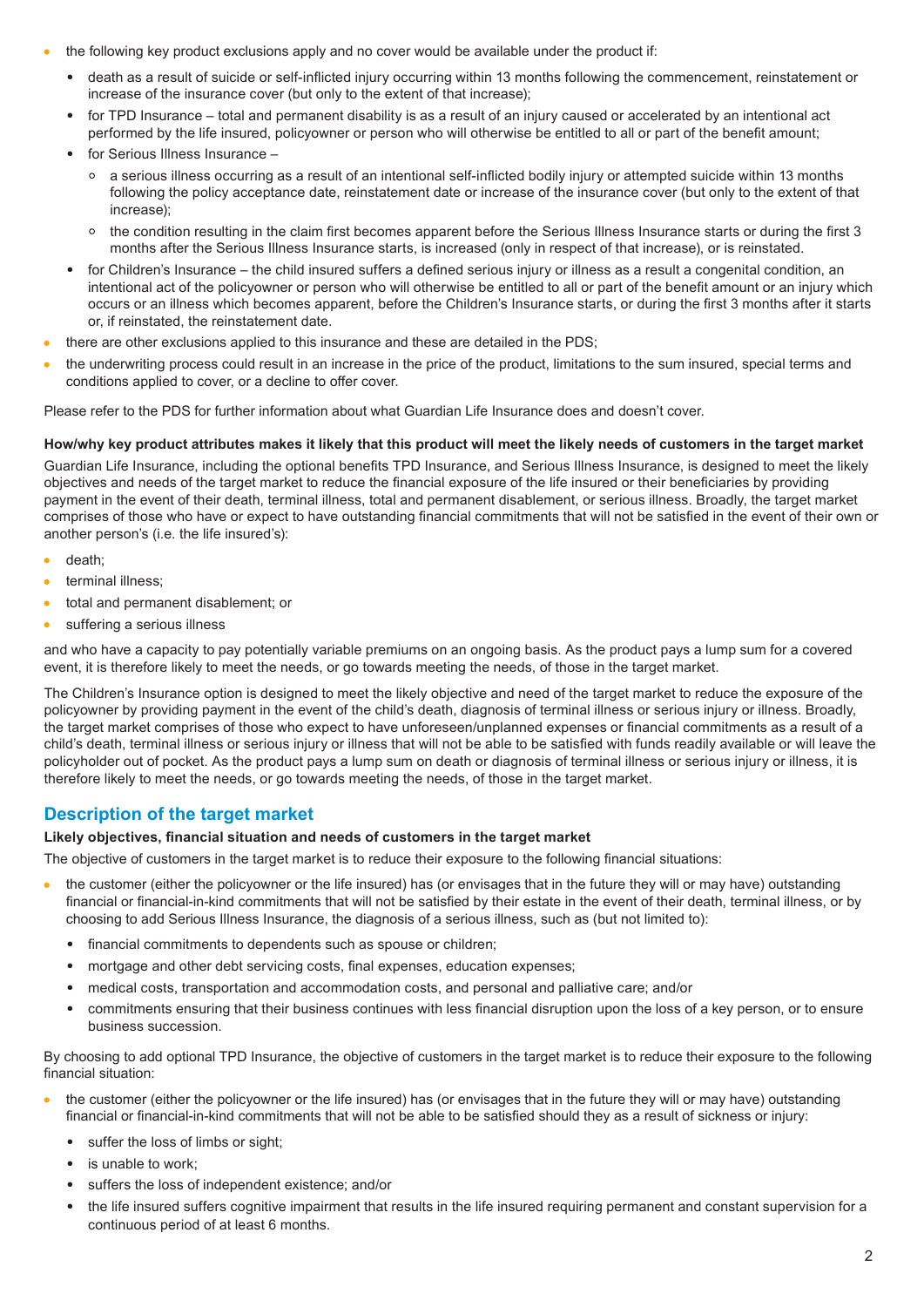- the following key product exclusions apply and no cover would be available under the product if:
	- death as a result of suicide or self-inflicted injury occurring within 13 months following the commencement, reinstatement or increase of the insurance cover (but only to the extent of that increase);
	- for TPD Insurance total and permanent disability is as a result of an injury caused or accelerated by an intentional act performed by the life insured, policyowner or person who will otherwise be entitled to all or part of the benefit amount;
	- for Serious Illness Insurance
		- a serious illness occurring as a result of an intentional self-inflicted bodily injury or attempted suicide within 13 months following the policy acceptance date, reinstatement date or increase of the insurance cover (but only to the extent of that increase);
		- the condition resulting in the claim first becomes apparent before the Serious Illness Insurance starts or during the first 3 months after the Serious Illness Insurance starts, is increased (only in respect of that increase), or is reinstated.
	- for Children's Insurance the child insured suffers a defined serious injury or illness as a result a congenital condition, an intentional act of the policyowner or person who will otherwise be entitled to all or part of the benefit amount or an injury which occurs or an illness which becomes apparent, before the Children's Insurance starts, or during the first 3 months after it starts or, if reinstated, the reinstatement date.
- there are other exclusions applied to this insurance and these are detailed in the PDS;
- the underwriting process could result in an increase in the price of the product, limitations to the sum insured, special terms and conditions applied to cover, or a decline to offer cover.

Please refer to the PDS for further information about what Guardian Life Insurance does and doesn't cover.

## **How/why key product attributes makes it likely that this product will meet the likely needs of customers in the target market**

Guardian Life Insurance, including the optional benefits TPD Insurance, and Serious Illness Insurance, is designed to meet the likely objectives and needs of the target market to reduce the financial exposure of the life insured or their beneficiaries by providing payment in the event of their death, terminal illness, total and permanent disablement, or serious illness. Broadly, the target market comprises of those who have or expect to have outstanding financial commitments that will not be satisfied in the event of their own or another person's (i.e. the life insured's):

- death;
- $\overline{\phantom{a}}$ terminal illness;
- total and permanent disablement; or  $\bullet$
- suffering a serious illness  $\bullet$

and who have a capacity to pay potentially variable premiums on an ongoing basis. As the product pays a lump sum for a covered event, it is therefore likely to meet the needs, or go towards meeting the needs, of those in the target market.

The Children's Insurance option is designed to meet the likely objective and need of the target market to reduce the exposure of the policyowner by providing payment in the event of the child's death, diagnosis of terminal illness or serious injury or illness. Broadly, the target market comprises of those who expect to have unforeseen/unplanned expenses or financial commitments as a result of a child's death, terminal illness or serious injury or illness that will not be able to be satisfied with funds readily available or will leave the policyholder out of pocket. As the product pays a lump sum on death or diagnosis of terminal illness or serious injury or illness, it is therefore likely to meet the needs, or go towards meeting the needs, of those in the target market.

# **Description of the target market**

## **Likely objectives, financial situation and needs of customers in the target market**

The objective of customers in the target market is to reduce their exposure to the following financial situations:

- $\bullet$ the customer (either the policyowner or the life insured) has (or envisages that in the future they will or may have) outstanding financial or financial-in-kind commitments that will not be satisfied by their estate in the event of their death, terminal illness, or by choosing to add Serious Illness Insurance, the diagnosis of a serious illness, such as (but not limited to):
	- financial commitments to dependents such as spouse or children;
	- mortgage and other debt servicing costs, final expenses, education expenses;
	- medical costs, transportation and accommodation costs, and personal and palliative care; and/or
	- commitments ensuring that their business continues with less financial disruption upon the loss of a key person, or to ensure business succession.

By choosing to add optional TPD Insurance, the objective of customers in the target market is to reduce their exposure to the following financial situation:

- the customer (either the policyowner or the life insured) has (or envisages that in the future they will or may have) outstanding financial or financial-in-kind commitments that will not be able to be satisfied should they as a result of sickness or injury:
	- suffer the loss of limbs or sight;
	- is unable to work;
	- suffers the loss of independent existence; and/or
	- the life insured suffers cognitive impairment that results in the life insured requiring permanent and constant supervision for a continuous period of at least 6 months.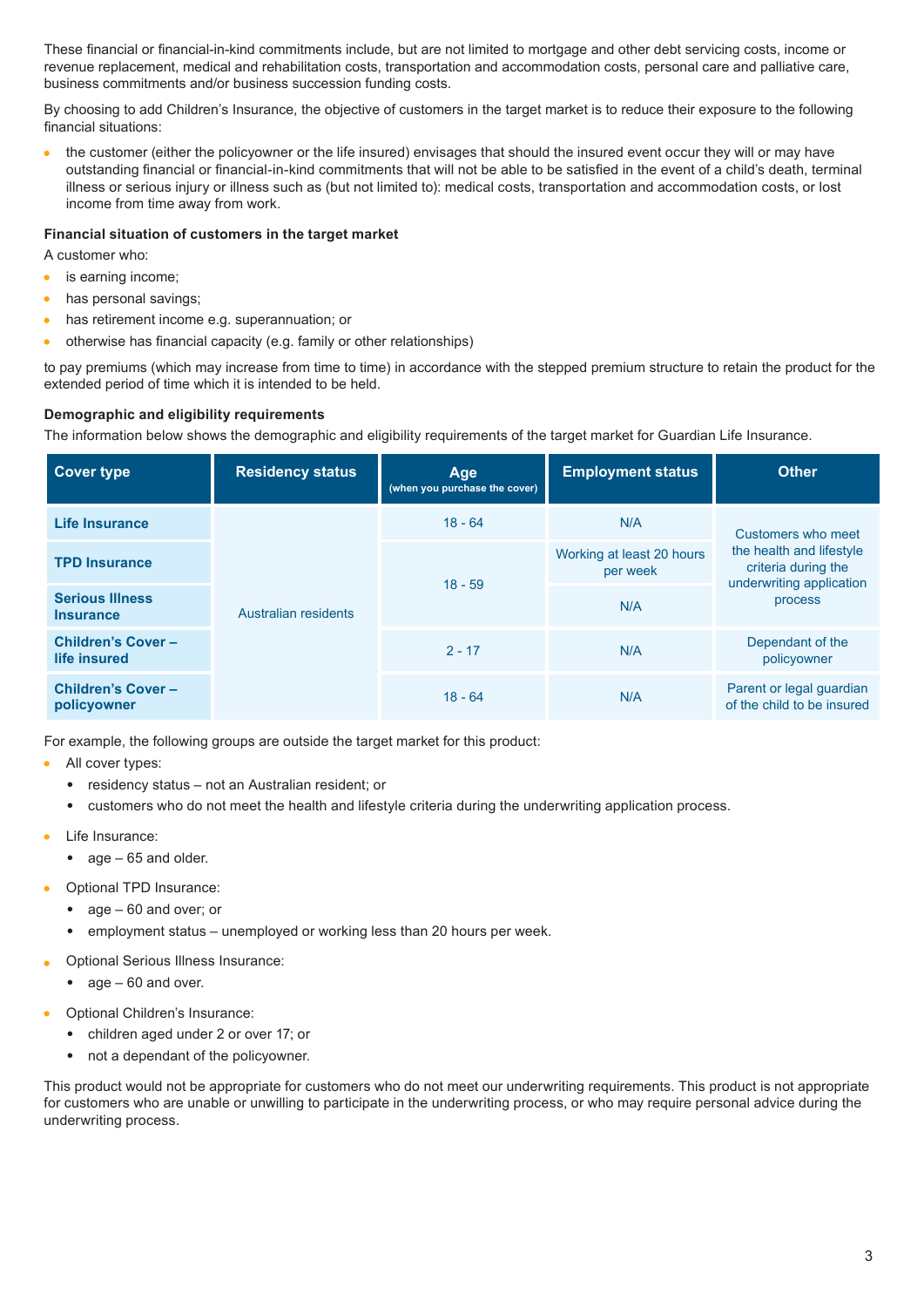These financial or financial-in-kind commitments include, but are not limited to mortgage and other debt servicing costs, income or revenue replacement, medical and rehabilitation costs, transportation and accommodation costs, personal care and palliative care, business commitments and/or business succession funding costs.

By choosing to add Children's Insurance, the objective of customers in the target market is to reduce their exposure to the following financial situations:

the customer (either the policyowner or the life insured) envisages that should the insured event occur they will or may have outstanding financial or financial-in-kind commitments that will not be able to be satisfied in the event of a child's death, terminal illness or serious injury or illness such as (but not limited to): medical costs, transportation and accommodation costs, or lost income from time away from work.

#### **Financial situation of customers in the target market**

A customer who:

- is earning income;
- has personal savings;  $\bullet$
- has retirement income e.g. superannuation; or  $\bullet$
- otherwise has financial capacity (e.g. family or other relationships)  $\bullet$

to pay premiums (which may increase from time to time) in accordance with the stepped premium structure to retain the product for the extended period of time which it is intended to be held.

#### **Demographic and eligibility requirements**

The information below shows the demographic and eligibility requirements of the target market for Guardian Life Insurance.

| <b>Cover type</b>                          | <b>Residency status</b>     | Age<br>(when you purchase the cover) | <b>Employment status</b>              | <b>Other</b>                                                                                                 |
|--------------------------------------------|-----------------------------|--------------------------------------|---------------------------------------|--------------------------------------------------------------------------------------------------------------|
| Life Insurance                             | <b>Australian residents</b> | $18 - 64$                            | N/A                                   | Customers who meet<br>the health and lifestyle<br>criteria during the<br>underwriting application<br>process |
| <b>TPD Insurance</b>                       |                             | $18 - 59$                            | Working at least 20 hours<br>per week |                                                                                                              |
| <b>Serious Illness</b><br><b>Insurance</b> |                             |                                      | N/A                                   |                                                                                                              |
| <b>Children's Cover-</b><br>life insured   |                             | $2 - 17$                             | N/A                                   | Dependant of the<br>policyowner                                                                              |
| <b>Children's Cover-</b><br>policyowner    |                             | $18 - 64$                            | N/A                                   | Parent or legal guardian<br>of the child to be insured                                                       |

For example, the following groups are outside the target market for this product:

- All cover types:
	- residency status not an Australian resident; or
	- customers who do not meet the health and lifestyle criteria during the underwriting application process.
- Life Insurance:
	- age 65 and older.
- Optional TPD Insurance:
	- age 60 and over; or
	- employment status unemployed or working less than 20 hours per week.
- Optional Serious Illness Insurance:
	- age 60 and over.
- Optional Children's Insurance:
	- children aged under 2 or over 17; or
	- not a dependant of the policyowner.

This product would not be appropriate for customers who do not meet our underwriting requirements. This product is not appropriate for customers who are unable or unwilling to participate in the underwriting process, or who may require personal advice during the underwriting process.